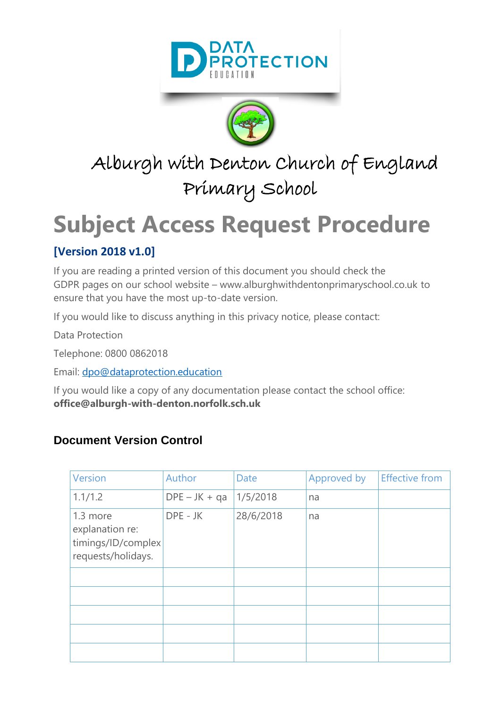



## Alburgh with Denton Church of England Primary School

# **Subject Access Request Procedure**

#### **[Version 2018 v1.0]**

If you are reading a printed version of this document you should check the GDPR pages on our school website – www.alburghwithdentonprimaryschool.co.uk to ensure that you have the most up-to-date version.

If you would like to discuss anything in this privacy notice, please contact:

Data Protection

Telephone: 0800 0862018

Email: [dpo@dataprotection.education](mailto:dpo@dataprotection.education)

If you would like a copy of any documentation please contact the school office: **office@alburgh-with-denton.norfolk.sch.uk**

#### **Document Version Control**

| Version                                                                 | Author          | <b>Date</b> | Approved by | <b>Effective from</b> |
|-------------------------------------------------------------------------|-----------------|-------------|-------------|-----------------------|
| 1.1/1.2                                                                 | $DPE - JK + qa$ | 1/5/2018    | na          |                       |
| 1.3 more<br>explanation re:<br>timings/ID/complex<br>requests/holidays. | DPE - JK        | 28/6/2018   | na          |                       |
|                                                                         |                 |             |             |                       |
|                                                                         |                 |             |             |                       |
|                                                                         |                 |             |             |                       |
|                                                                         |                 |             |             |                       |
|                                                                         |                 |             |             |                       |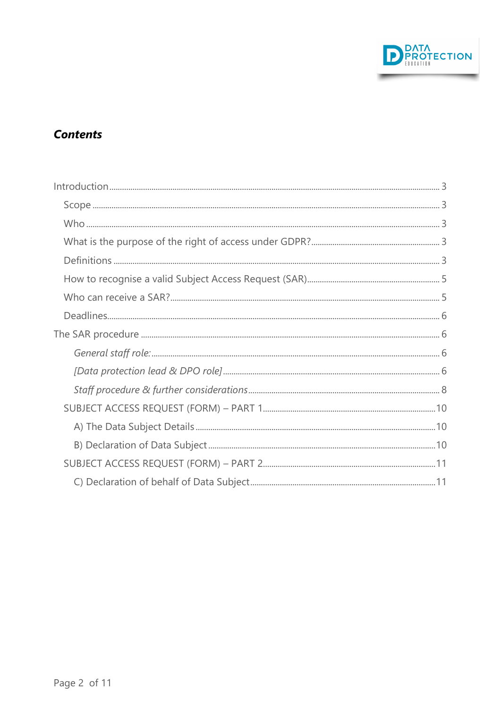

#### **Contents**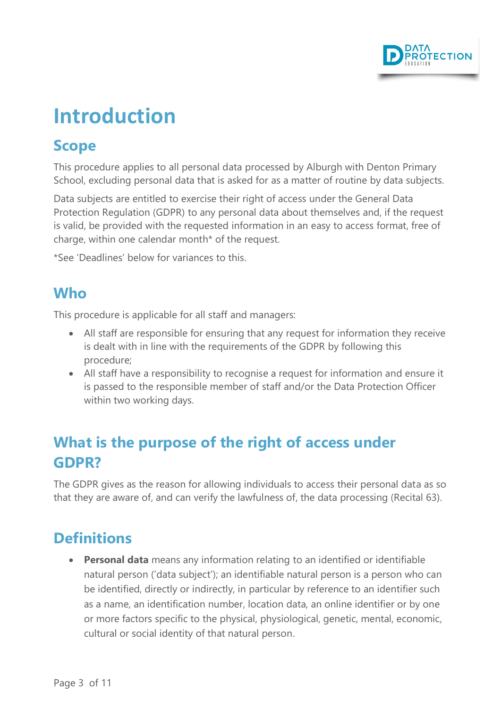

## <span id="page-2-0"></span>**Introduction**

### <span id="page-2-1"></span>**Scope**

This procedure applies to all personal data processed by Alburgh with Denton Primary School, excluding personal data that is asked for as a matter of routine by data subjects.

Data subjects are entitled to exercise their right of access under the General Data Protection Regulation (GDPR) to any personal data about themselves and, if the request is valid, be provided with the requested information in an easy to access format, free of charge, within one calendar month\* of the request.

\*See 'Deadlines' below for variances to this.

### <span id="page-2-2"></span>**Who**

This procedure is applicable for all staff and managers:

- All staff are responsible for ensuring that any request for information they receive is dealt with in line with the requirements of the GDPR by following this procedure;
- All staff have a responsibility to recognise a request for information and ensure it is passed to the responsible member of staff and/or the Data Protection Officer within two working days.

## <span id="page-2-3"></span>**What is the purpose of the right of access under GDPR?**

The GDPR gives as the reason for allowing individuals to access their personal data as so that they are aware of, and can verify the lawfulness of, the data processing (Recital 63).

## <span id="page-2-4"></span>**Definitions**

**Personal data** means any information relating to an identified or identifiable natural person ('data subject'); an identifiable natural person is a person who can be identified, directly or indirectly, in particular by reference to an identifier such as a name, an identification number, location data, an online identifier or by one or more factors specific to the physical, physiological, genetic, mental, economic, cultural or social identity of that natural person.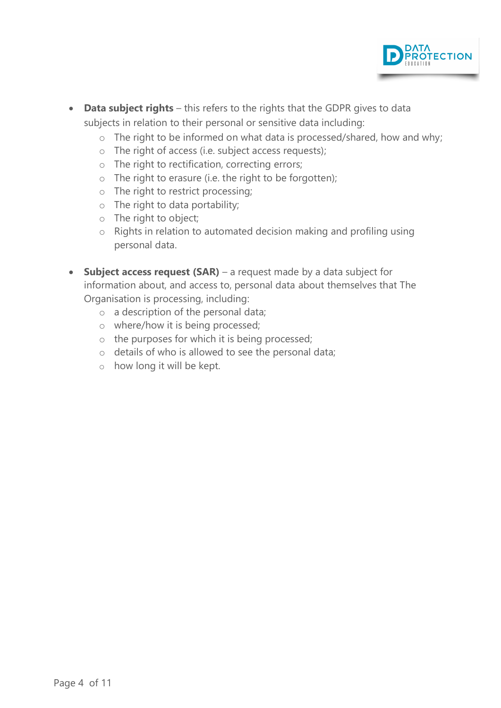

- **Data subject rights** this refers to the rights that the GDPR gives to data subjects in relation to their personal or sensitive data including:
	- o The right to be informed on what data is processed/shared, how and why;
	- o The right of access (i.e. subject access requests);
	- o The right to rectification, correcting errors;
	- o The right to erasure (i.e. the right to be forgotten);
	- o The right to restrict processing;
	- o The right to data portability;
	- o The right to object;
	- o Rights in relation to automated decision making and profiling using personal data.
- <span id="page-3-0"></span>• **Subject access request (SAR)** – a request made by a data subject for information about, and access to, personal data about themselves that The Organisation is processing, including:
	- o a description of the personal data;
	- o where/how it is being processed;
	- o the purposes for which it is being processed;
	- o details of who is allowed to see the personal data;
	- o how long it will be kept.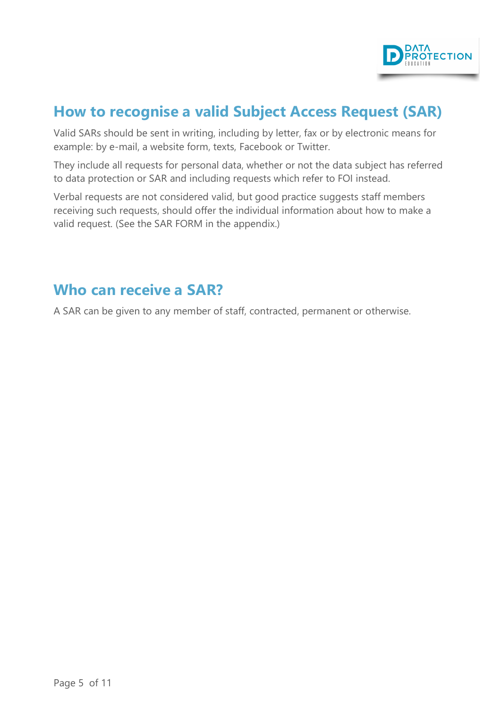

## **How to recognise a valid Subject Access Request (SAR)**

Valid SARs should be sent in writing, including by letter, fax or by electronic means for example: by e-mail, a website form, texts, Facebook or Twitter.

They include all requests for personal data, whether or not the data subject has referred to data protection or SAR and including requests which refer to FOI instead.

Verbal requests are not considered valid, but good practice suggests staff members receiving such requests, should offer the individual information about how to make a valid request. (See the SAR FORM in the appendix.)

#### <span id="page-4-0"></span>**Who can receive a SAR?**

A SAR can be given to any member of staff, contracted, permanent or otherwise.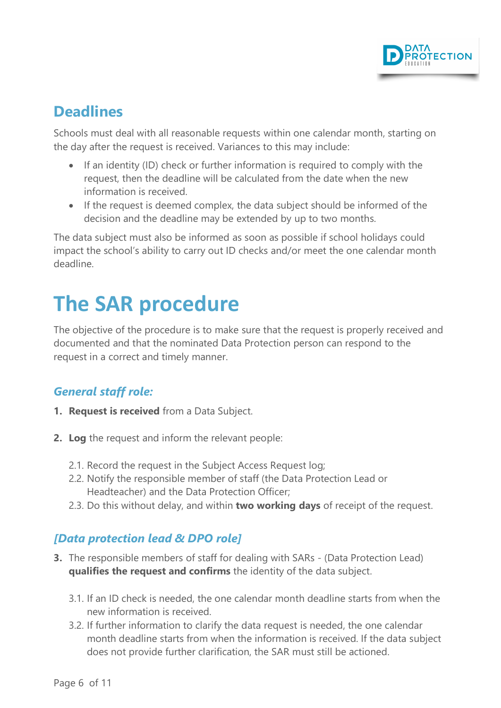

## <span id="page-5-0"></span>**Deadlines**

Schools must deal with all reasonable requests within one calendar month, starting on the day after the request is received. Variances to this may include:

- If an identity (ID) check or further information is required to comply with the request, then the deadline will be calculated from the date when the new information is received.
- If the request is deemed complex, the data subject should be informed of the decision and the deadline may be extended by up to two months.

The data subject must also be informed as soon as possible if school holidays could impact the school's ability to carry out ID checks and/or meet the one calendar month deadline.

## <span id="page-5-1"></span>**The SAR procedure**

The objective of the procedure is to make sure that the request is properly received and documented and that the nominated Data Protection person can respond to the request in a correct and timely manner.

#### <span id="page-5-2"></span>*General staff role:*

- **1. Request is received** from a Data Subject.
- **2. Log** the request and inform the relevant people:
	- 2.1. Record the request in the Subject Access Request log;
	- 2.2. Notify the responsible member of staff (the Data Protection Lead or Headteacher) and the Data Protection Officer;
	- 2.3. Do this without delay, and within **two working days** of receipt of the request.

#### <span id="page-5-3"></span>*[Data protection lead & DPO role]*

- **3.** The responsible members of staff for dealing with SARs (Data Protection Lead) **qualifies the request and confirms** the identity of the data subject.
	- 3.1. If an ID check is needed, the one calendar month deadline starts from when the new information is received.
	- 3.2. If further information to clarify the data request is needed, the one calendar month deadline starts from when the information is received. If the data subject does not provide further clarification, the SAR must still be actioned.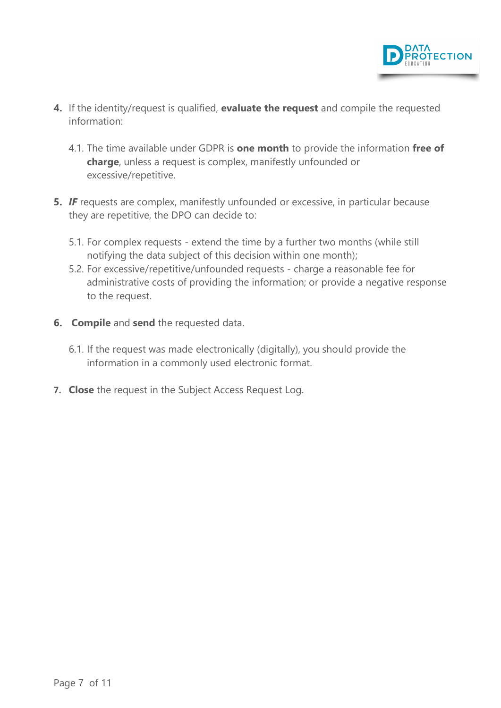

- **4.** If the identity/request is qualified, **evaluate the request** and compile the requested information:
	- 4.1. The time available under GDPR is **one month** to provide the information **free of charge**, unless a request is complex, manifestly unfounded or excessive/repetitive.
- **5.** *IF* requests are complex, manifestly unfounded or excessive, in particular because they are repetitive, the DPO can decide to:
	- 5.1. For complex requests extend the time by a further two months (while still notifying the data subject of this decision within one month);
	- 5.2. For excessive/repetitive/unfounded requests charge a reasonable fee for administrative costs of providing the information; or provide a negative response to the request.
- **6. Compile** and **send** the requested data.
	- 6.1. If the request was made electronically (digitally), you should provide the information in a commonly used electronic format.
- **7. Close** the request in the Subject Access Request Log.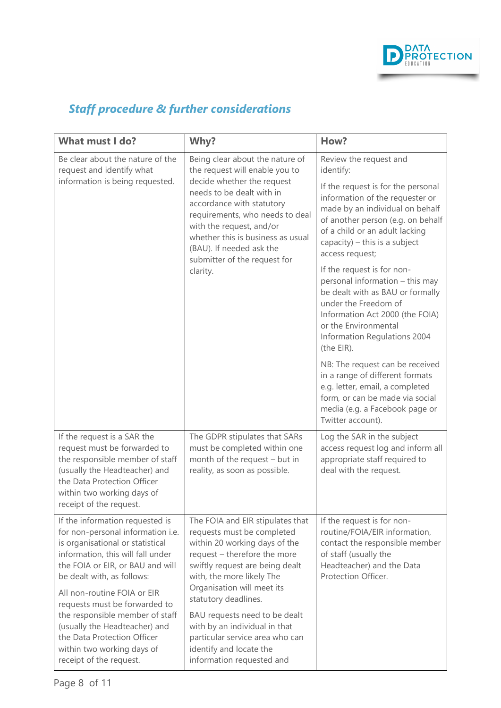

## <span id="page-7-0"></span>*Staff procedure & further considerations*

| What must I do?                                                                                                                                                                                                                                                                                                                                                                                                                             | Why?                                                                                                                                                                                                                                                                                                                                                                                                               | How?                                                                                                                                                                                                                                                                                                                                                                                                                                                                                                                                                                                                                                                                                                                  |
|---------------------------------------------------------------------------------------------------------------------------------------------------------------------------------------------------------------------------------------------------------------------------------------------------------------------------------------------------------------------------------------------------------------------------------------------|--------------------------------------------------------------------------------------------------------------------------------------------------------------------------------------------------------------------------------------------------------------------------------------------------------------------------------------------------------------------------------------------------------------------|-----------------------------------------------------------------------------------------------------------------------------------------------------------------------------------------------------------------------------------------------------------------------------------------------------------------------------------------------------------------------------------------------------------------------------------------------------------------------------------------------------------------------------------------------------------------------------------------------------------------------------------------------------------------------------------------------------------------------|
| Be clear about the nature of the<br>request and identify what<br>information is being requested.                                                                                                                                                                                                                                                                                                                                            | Being clear about the nature of<br>the request will enable you to<br>decide whether the request<br>needs to be dealt with in<br>accordance with statutory<br>requirements, who needs to deal<br>with the request, and/or<br>whether this is business as usual<br>(BAU). If needed ask the<br>submitter of the request for<br>clarity.                                                                              | Review the request and<br>identify:<br>If the request is for the personal<br>information of the requester or<br>made by an individual on behalf<br>of another person (e.g. on behalf<br>of a child or an adult lacking<br>capacity) $-$ this is a subject<br>access request;<br>If the request is for non-<br>personal information - this may<br>be dealt with as BAU or formally<br>under the Freedom of<br>Information Act 2000 (the FOIA)<br>or the Environmental<br>Information Regulations 2004<br>(the EIR).<br>NB: The request can be received<br>in a range of different formats<br>e.g. letter, email, a completed<br>form, or can be made via social<br>media (e.g. a Facebook page or<br>Twitter account). |
| If the request is a SAR the<br>request must be forwarded to<br>the responsible member of staff<br>(usually the Headteacher) and<br>the Data Protection Officer<br>within two working days of<br>receipt of the request.                                                                                                                                                                                                                     | The GDPR stipulates that SARs<br>must be completed within one<br>month of the request - but in<br>reality, as soon as possible.                                                                                                                                                                                                                                                                                    | Log the SAR in the subject<br>access request log and inform all<br>appropriate staff required to<br>deal with the request.                                                                                                                                                                                                                                                                                                                                                                                                                                                                                                                                                                                            |
| If the information requested is<br>for non-personal information i.e.<br>is organisational or statistical<br>information, this will fall under<br>the FOIA or EIR, or BAU and will<br>be dealt with, as follows:<br>All non-routine FOIA or EIR<br>requests must be forwarded to<br>the responsible member of staff<br>(usually the Headteacher) and<br>the Data Protection Officer<br>within two working days of<br>receipt of the request. | The FOIA and EIR stipulates that<br>requests must be completed<br>within 20 working days of the<br>request - therefore the more<br>swiftly request are being dealt<br>with, the more likely The<br>Organisation will meet its<br>statutory deadlines.<br>BAU requests need to be dealt<br>with by an individual in that<br>particular service area who can<br>identify and locate the<br>information requested and | If the request is for non-<br>routine/FOIA/EIR information,<br>contact the responsible member<br>of staff (usually the<br>Headteacher) and the Data<br>Protection Officer.                                                                                                                                                                                                                                                                                                                                                                                                                                                                                                                                            |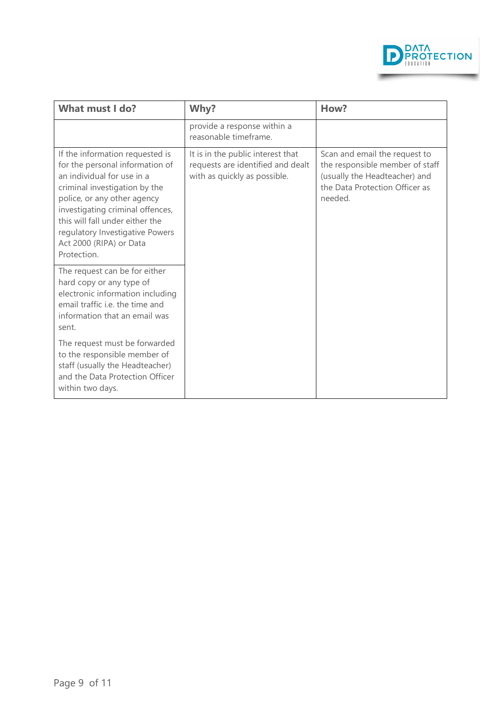

| What must I do?                                                                                                                                                                                                                                                                                                      | Why?                                                                                                   | How?                                                                                                                                           |
|----------------------------------------------------------------------------------------------------------------------------------------------------------------------------------------------------------------------------------------------------------------------------------------------------------------------|--------------------------------------------------------------------------------------------------------|------------------------------------------------------------------------------------------------------------------------------------------------|
|                                                                                                                                                                                                                                                                                                                      | provide a response within a<br>reasonable timeframe.                                                   |                                                                                                                                                |
| If the information requested is<br>for the personal information of<br>an individual for use in a<br>criminal investigation by the<br>police, or any other agency<br>investigating criminal offences,<br>this will fall under either the<br>regulatory Investigative Powers<br>Act 2000 (RIPA) or Data<br>Protection. | It is in the public interest that<br>requests are identified and dealt<br>with as quickly as possible. | Scan and email the request to<br>the responsible member of staff<br>(usually the Headteacher) and<br>the Data Protection Officer as<br>needed. |
| The request can be for either<br>hard copy or any type of<br>electronic information including<br>email traffic i.e. the time and<br>information that an email was<br>sent.                                                                                                                                           |                                                                                                        |                                                                                                                                                |
| The request must be forwarded<br>to the responsible member of<br>staff (usually the Headteacher)<br>and the Data Protection Officer<br>within two days.                                                                                                                                                              |                                                                                                        |                                                                                                                                                |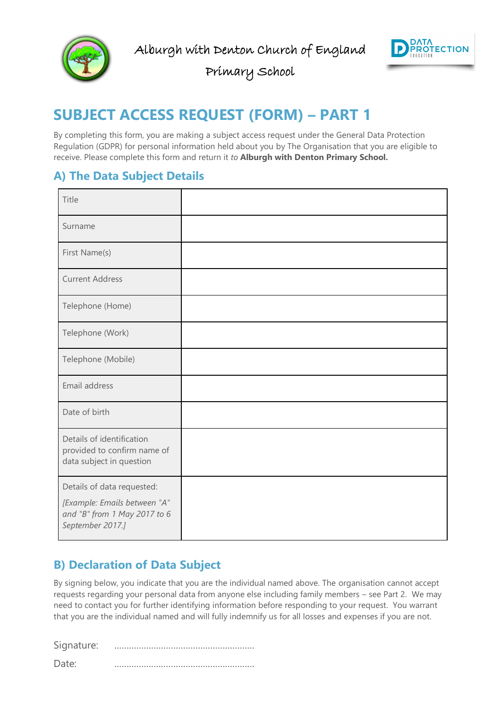



Primary School

## <span id="page-9-0"></span>**SUBJECT ACCESS REQUEST (FORM) – PART 1**

By completing this form, you are making a subject access request under the General Data Protection Regulation (GDPR) for personal information held about you by The Organisation that you are eligible to receive. Please complete this form and return it *to* **Alburgh with Denton Primary School.**

#### <span id="page-9-1"></span>**A) The Data Subject Details**

| Title                                                                                |  |
|--------------------------------------------------------------------------------------|--|
| Surname                                                                              |  |
| First Name(s)                                                                        |  |
| <b>Current Address</b>                                                               |  |
| Telephone (Home)                                                                     |  |
| Telephone (Work)                                                                     |  |
| Telephone (Mobile)                                                                   |  |
| Email address                                                                        |  |
| Date of birth                                                                        |  |
| Details of identification<br>provided to confirm name of<br>data subject in question |  |
| Details of data requested:                                                           |  |
| [Example: Emails between "A"<br>and "B" from 1 May 2017 to 6<br>September 2017.]     |  |

#### <span id="page-9-2"></span>**B) Declaration of Data Subject**

By signing below, you indicate that you are the individual named above. The organisation cannot accept requests regarding your personal data from anyone else including family members – see Part 2. We may need to contact you for further identifying information before responding to your request. You warrant that you are the individual named and will fully indemnify us for all losses and expenses if you are not.

Signature: …………………………………………………

Date: …………………………………………………